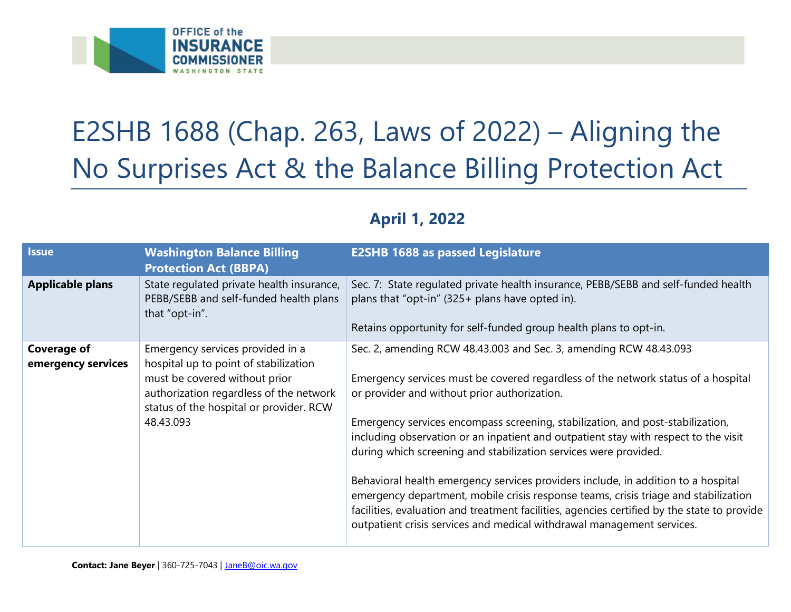

## E2SHB 1688 (Chap. 263, Laws of 2022) – Aligning the No Surprises Act & the Balance Billing Protection Act

## **April 1, 2022**

| <b>Issue</b>                             | <b>Washington Balance Billing</b><br><b>Protection Act (BBPA)</b>                                                                                                                                             | <b>E2SHB 1688 as passed Legislature</b>                                                                                                                                                                                                                                                                                                                                                                                                                                                                                                                                                                                                                                                                                                                                                                  |
|------------------------------------------|---------------------------------------------------------------------------------------------------------------------------------------------------------------------------------------------------------------|----------------------------------------------------------------------------------------------------------------------------------------------------------------------------------------------------------------------------------------------------------------------------------------------------------------------------------------------------------------------------------------------------------------------------------------------------------------------------------------------------------------------------------------------------------------------------------------------------------------------------------------------------------------------------------------------------------------------------------------------------------------------------------------------------------|
| <b>Applicable plans</b>                  | State regulated private health insurance,<br>PEBB/SEBB and self-funded health plans<br>that "opt-in".                                                                                                         | Sec. 7: State regulated private health insurance, PEBB/SEBB and self-funded health<br>plans that "opt-in" (325+ plans have opted in).<br>Retains opportunity for self-funded group health plans to opt-in.                                                                                                                                                                                                                                                                                                                                                                                                                                                                                                                                                                                               |
| <b>Coverage of</b><br>emergency services | Emergency services provided in a<br>hospital up to point of stabilization<br>must be covered without prior<br>authorization regardless of the network<br>status of the hospital or provider. RCW<br>48.43.093 | Sec. 2, amending RCW 48.43.003 and Sec. 3, amending RCW 48.43.093<br>Emergency services must be covered regardless of the network status of a hospital<br>or provider and without prior authorization.<br>Emergency services encompass screening, stabilization, and post-stabilization,<br>including observation or an inpatient and outpatient stay with respect to the visit<br>during which screening and stabilization services were provided.<br>Behavioral health emergency services providers include, in addition to a hospital<br>emergency department, mobile crisis response teams, crisis triage and stabilization<br>facilities, evaluation and treatment facilities, agencies certified by the state to provide<br>outpatient crisis services and medical withdrawal management services. |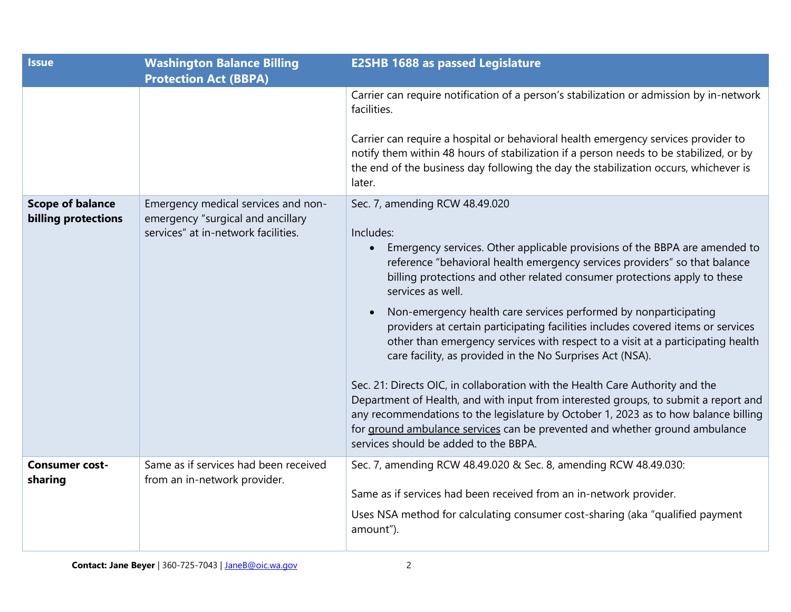| <b>Issue</b>                                   | <b>Washington Balance Billing</b><br><b>Protection Act (BBPA)</b>                                               | <b>E2SHB 1688 as passed Legislature</b>                                                                                                                                                                                                                                                                                                                                                                                                                                                                                                                                                                                                                                                                                                                                                                                                                                                                                                                                                                  |
|------------------------------------------------|-----------------------------------------------------------------------------------------------------------------|----------------------------------------------------------------------------------------------------------------------------------------------------------------------------------------------------------------------------------------------------------------------------------------------------------------------------------------------------------------------------------------------------------------------------------------------------------------------------------------------------------------------------------------------------------------------------------------------------------------------------------------------------------------------------------------------------------------------------------------------------------------------------------------------------------------------------------------------------------------------------------------------------------------------------------------------------------------------------------------------------------|
|                                                |                                                                                                                 | Carrier can require notification of a person's stabilization or admission by in-network<br>facilities.<br>Carrier can require a hospital or behavioral health emergency services provider to<br>notify them within 48 hours of stabilization if a person needs to be stabilized, or by<br>the end of the business day following the day the stabilization occurs, whichever is<br>later.                                                                                                                                                                                                                                                                                                                                                                                                                                                                                                                                                                                                                 |
| <b>Scope of balance</b><br>billing protections | Emergency medical services and non-<br>emergency "surgical and ancillary<br>services" at in-network facilities. | Sec. 7, amending RCW 48.49.020<br>Includes:<br>Emergency services. Other applicable provisions of the BBPA are amended to<br>reference "behavioral health emergency services providers" so that balance<br>billing protections and other related consumer protections apply to these<br>services as well.<br>Non-emergency health care services performed by nonparticipating<br>providers at certain participating facilities includes covered items or services<br>other than emergency services with respect to a visit at a participating health<br>care facility, as provided in the No Surprises Act (NSA).<br>Sec. 21: Directs OIC, in collaboration with the Health Care Authority and the<br>Department of Health, and with input from interested groups, to submit a report and<br>any recommendations to the legislature by October 1, 2023 as to how balance billing<br>for ground ambulance services can be prevented and whether ground ambulance<br>services should be added to the BBPA. |
| <b>Consumer cost-</b><br>sharing               | Same as if services had been received<br>from an in-network provider.                                           | Sec. 7, amending RCW 48.49.020 & Sec. 8, amending RCW 48.49.030:<br>Same as if services had been received from an in-network provider.<br>Uses NSA method for calculating consumer cost-sharing (aka "qualified payment<br>amount").                                                                                                                                                                                                                                                                                                                                                                                                                                                                                                                                                                                                                                                                                                                                                                     |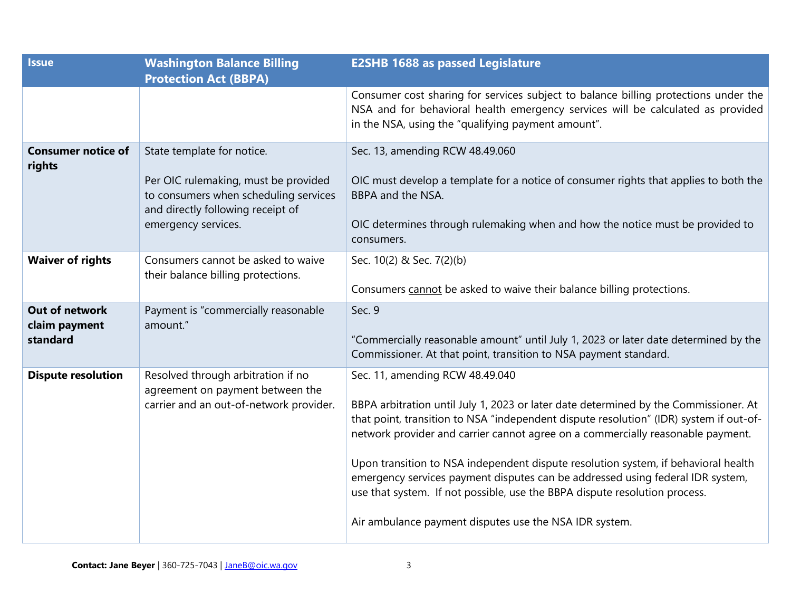| <b>Issue</b>                                | <b>Washington Balance Billing</b><br><b>Protection Act (BBPA)</b>                                                                                                       | <b>E2SHB 1688 as passed Legislature</b>                                                                                                                                                                                                                                                                                                                                                                                                                                                                                                                                                                              |
|---------------------------------------------|-------------------------------------------------------------------------------------------------------------------------------------------------------------------------|----------------------------------------------------------------------------------------------------------------------------------------------------------------------------------------------------------------------------------------------------------------------------------------------------------------------------------------------------------------------------------------------------------------------------------------------------------------------------------------------------------------------------------------------------------------------------------------------------------------------|
|                                             |                                                                                                                                                                         | Consumer cost sharing for services subject to balance billing protections under the<br>NSA and for behavioral health emergency services will be calculated as provided<br>in the NSA, using the "qualifying payment amount".                                                                                                                                                                                                                                                                                                                                                                                         |
| <b>Consumer notice of</b><br>rights         | State template for notice.<br>Per OIC rulemaking, must be provided<br>to consumers when scheduling services<br>and directly following receipt of<br>emergency services. | Sec. 13, amending RCW 48.49.060<br>OIC must develop a template for a notice of consumer rights that applies to both the<br>BBPA and the NSA.<br>OIC determines through rulemaking when and how the notice must be provided to<br>consumers.                                                                                                                                                                                                                                                                                                                                                                          |
| <b>Waiver of rights</b>                     | Consumers cannot be asked to waive<br>their balance billing protections.                                                                                                | Sec. 10(2) & Sec. 7(2)(b)<br>Consumers cannot be asked to waive their balance billing protections.                                                                                                                                                                                                                                                                                                                                                                                                                                                                                                                   |
| Out of network<br>claim payment<br>standard | Payment is "commercially reasonable<br>amount."                                                                                                                         | Sec. 9<br>"Commercially reasonable amount" until July 1, 2023 or later date determined by the<br>Commissioner. At that point, transition to NSA payment standard.                                                                                                                                                                                                                                                                                                                                                                                                                                                    |
| <b>Dispute resolution</b>                   | Resolved through arbitration if no<br>agreement on payment between the<br>carrier and an out-of-network provider.                                                       | Sec. 11, amending RCW 48.49.040<br>BBPA arbitration until July 1, 2023 or later date determined by the Commissioner. At<br>that point, transition to NSA "independent dispute resolution" (IDR) system if out-of-<br>network provider and carrier cannot agree on a commercially reasonable payment.<br>Upon transition to NSA independent dispute resolution system, if behavioral health<br>emergency services payment disputes can be addressed using federal IDR system,<br>use that system. If not possible, use the BBPA dispute resolution process.<br>Air ambulance payment disputes use the NSA IDR system. |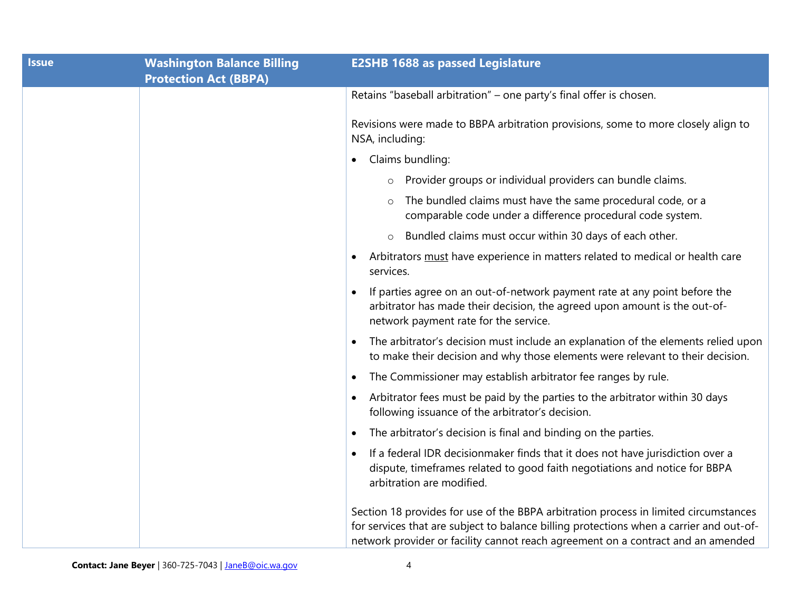| <b>Issue</b> | <b>Washington Balance Billing</b><br><b>Protection Act (BBPA)</b> | <b>E2SHB 1688 as passed Legislature</b>                                                                                                                                                                                                                             |
|--------------|-------------------------------------------------------------------|---------------------------------------------------------------------------------------------------------------------------------------------------------------------------------------------------------------------------------------------------------------------|
|              |                                                                   | Retains "baseball arbitration" - one party's final offer is chosen.                                                                                                                                                                                                 |
|              |                                                                   | Revisions were made to BBPA arbitration provisions, some to more closely align to<br>NSA, including:                                                                                                                                                                |
|              |                                                                   | Claims bundling:<br>$\bullet$                                                                                                                                                                                                                                       |
|              |                                                                   | Provider groups or individual providers can bundle claims.<br>$\circ$                                                                                                                                                                                               |
|              |                                                                   | The bundled claims must have the same procedural code, or a<br>$\circ$<br>comparable code under a difference procedural code system.                                                                                                                                |
|              |                                                                   | Bundled claims must occur within 30 days of each other.<br>$\circ$                                                                                                                                                                                                  |
|              |                                                                   | Arbitrators must have experience in matters related to medical or health care<br>services.                                                                                                                                                                          |
|              |                                                                   | If parties agree on an out-of-network payment rate at any point before the<br>arbitrator has made their decision, the agreed upon amount is the out-of-<br>network payment rate for the service.                                                                    |
|              |                                                                   | The arbitrator's decision must include an explanation of the elements relied upon<br>$\bullet$<br>to make their decision and why those elements were relevant to their decision.                                                                                    |
|              |                                                                   | The Commissioner may establish arbitrator fee ranges by rule.                                                                                                                                                                                                       |
|              |                                                                   | Arbitrator fees must be paid by the parties to the arbitrator within 30 days<br>following issuance of the arbitrator's decision.                                                                                                                                    |
|              |                                                                   | The arbitrator's decision is final and binding on the parties.                                                                                                                                                                                                      |
|              |                                                                   | If a federal IDR decisionmaker finds that it does not have jurisdiction over a<br>dispute, timeframes related to good faith negotiations and notice for BBPA<br>arbitration are modified.                                                                           |
|              |                                                                   | Section 18 provides for use of the BBPA arbitration process in limited circumstances<br>for services that are subject to balance billing protections when a carrier and out-of-<br>network provider or facility cannot reach agreement on a contract and an amended |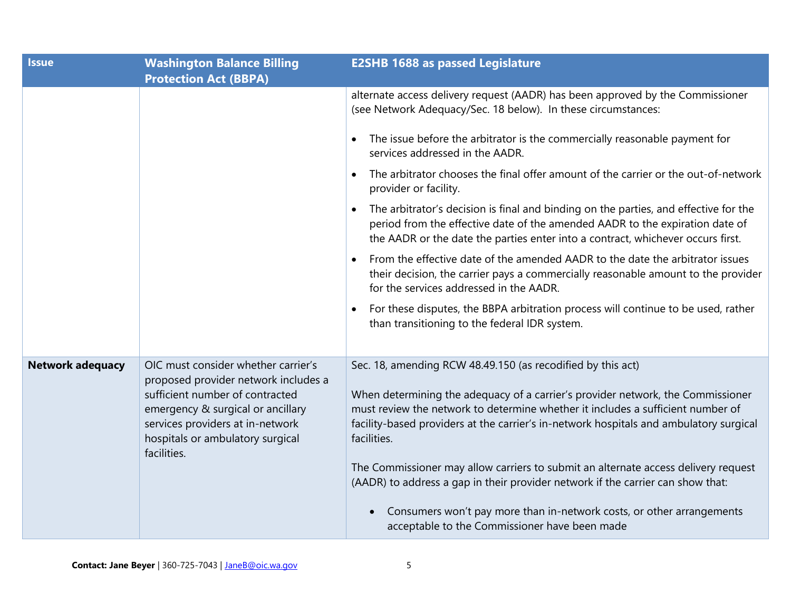| <b>Issue</b>            | <b>Washington Balance Billing</b><br><b>Protection Act (BBPA)</b>                                                                                           | <b>E2SHB 1688 as passed Legislature</b>                                                                                                                                                                                                                                     |
|-------------------------|-------------------------------------------------------------------------------------------------------------------------------------------------------------|-----------------------------------------------------------------------------------------------------------------------------------------------------------------------------------------------------------------------------------------------------------------------------|
|                         |                                                                                                                                                             | alternate access delivery request (AADR) has been approved by the Commissioner<br>(see Network Adequacy/Sec. 18 below). In these circumstances:                                                                                                                             |
|                         |                                                                                                                                                             | The issue before the arbitrator is the commercially reasonable payment for<br>services addressed in the AADR.                                                                                                                                                               |
|                         |                                                                                                                                                             | The arbitrator chooses the final offer amount of the carrier or the out-of-network<br>provider or facility.                                                                                                                                                                 |
|                         |                                                                                                                                                             | The arbitrator's decision is final and binding on the parties, and effective for the<br>period from the effective date of the amended AADR to the expiration date of<br>the AADR or the date the parties enter into a contract, whichever occurs first.                     |
|                         |                                                                                                                                                             | From the effective date of the amended AADR to the date the arbitrator issues<br>their decision, the carrier pays a commercially reasonable amount to the provider<br>for the services addressed in the AADR.                                                               |
|                         |                                                                                                                                                             | For these disputes, the BBPA arbitration process will continue to be used, rather<br>than transitioning to the federal IDR system.                                                                                                                                          |
| <b>Network adequacy</b> | OIC must consider whether carrier's<br>proposed provider network includes a                                                                                 | Sec. 18, amending RCW 48.49.150 (as recodified by this act)                                                                                                                                                                                                                 |
|                         | sufficient number of contracted<br>emergency & surgical or ancillary<br>services providers at in-network<br>hospitals or ambulatory surgical<br>facilities. | When determining the adequacy of a carrier's provider network, the Commissioner<br>must review the network to determine whether it includes a sufficient number of<br>facility-based providers at the carrier's in-network hospitals and ambulatory surgical<br>facilities. |
|                         |                                                                                                                                                             | The Commissioner may allow carriers to submit an alternate access delivery request<br>(AADR) to address a gap in their provider network if the carrier can show that:                                                                                                       |
|                         |                                                                                                                                                             | Consumers won't pay more than in-network costs, or other arrangements<br>acceptable to the Commissioner have been made                                                                                                                                                      |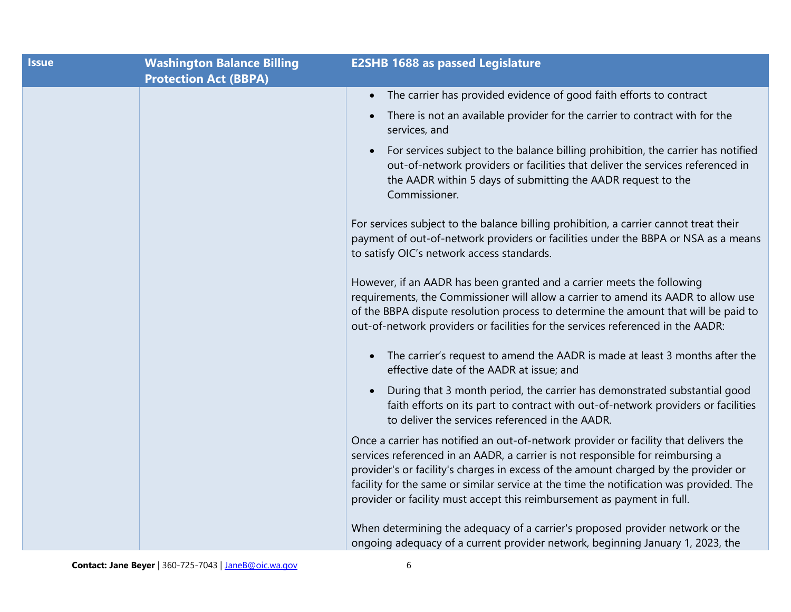| <b>Issue</b> | <b>Washington Balance Billing</b><br><b>Protection Act (BBPA)</b> | <b>E2SHB 1688 as passed Legislature</b>                                                                                                                                                                                                                                                                                                                                                                                             |
|--------------|-------------------------------------------------------------------|-------------------------------------------------------------------------------------------------------------------------------------------------------------------------------------------------------------------------------------------------------------------------------------------------------------------------------------------------------------------------------------------------------------------------------------|
|              |                                                                   | • The carrier has provided evidence of good faith efforts to contract                                                                                                                                                                                                                                                                                                                                                               |
|              |                                                                   | There is not an available provider for the carrier to contract with for the<br>$\bullet$<br>services, and                                                                                                                                                                                                                                                                                                                           |
|              |                                                                   | For services subject to the balance billing prohibition, the carrier has notified<br>out-of-network providers or facilities that deliver the services referenced in<br>the AADR within 5 days of submitting the AADR request to the<br>Commissioner.                                                                                                                                                                                |
|              |                                                                   | For services subject to the balance billing prohibition, a carrier cannot treat their<br>payment of out-of-network providers or facilities under the BBPA or NSA as a means<br>to satisfy OIC's network access standards.                                                                                                                                                                                                           |
|              |                                                                   | However, if an AADR has been granted and a carrier meets the following<br>requirements, the Commissioner will allow a carrier to amend its AADR to allow use<br>of the BBPA dispute resolution process to determine the amount that will be paid to<br>out-of-network providers or facilities for the services referenced in the AADR:                                                                                              |
|              |                                                                   | The carrier's request to amend the AADR is made at least 3 months after the<br>$\bullet$<br>effective date of the AADR at issue; and                                                                                                                                                                                                                                                                                                |
|              |                                                                   | During that 3 month period, the carrier has demonstrated substantial good<br>faith efforts on its part to contract with out-of-network providers or facilities<br>to deliver the services referenced in the AADR.                                                                                                                                                                                                                   |
|              |                                                                   | Once a carrier has notified an out-of-network provider or facility that delivers the<br>services referenced in an AADR, a carrier is not responsible for reimbursing a<br>provider's or facility's charges in excess of the amount charged by the provider or<br>facility for the same or similar service at the time the notification was provided. The<br>provider or facility must accept this reimbursement as payment in full. |
|              |                                                                   | When determining the adequacy of a carrier's proposed provider network or the<br>ongoing adequacy of a current provider network, beginning January 1, 2023, the                                                                                                                                                                                                                                                                     |